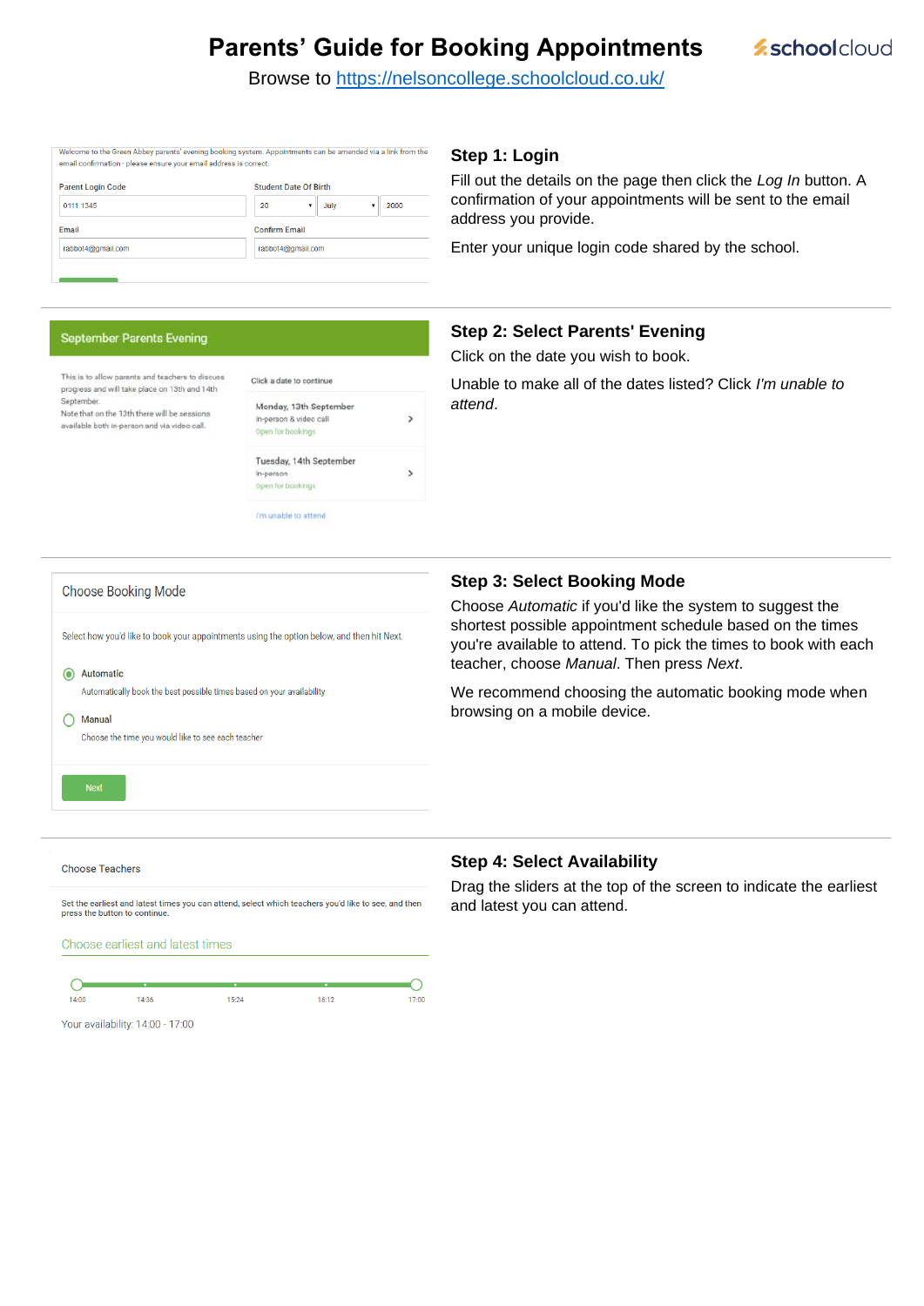# **Parents' Guide for Booking Appointments**

**z**schoolcloud

Browse to<https://nelsoncollege.schoolcloud.co.uk/>

| email confirmation - please ensure your email address is correct. | Welcome to the Green Abbey parents' evening booking system. Appointments can be amended via a link from the |  |  |
|-------------------------------------------------------------------|-------------------------------------------------------------------------------------------------------------|--|--|
| <b>Parent Login Code</b>                                          | <b>Student Date Of Birth</b>                                                                                |  |  |
| 0111 1345                                                         | 20<br>2000<br>July                                                                                          |  |  |
| Email                                                             | <b>Confirm Email</b>                                                                                        |  |  |
| rabbot4@gmail.com                                                 | rabbot4@gmail.com                                                                                           |  |  |

### **September Parents Evening**

| This is to allow parents and teachers to discuss<br>progress and will take place on 13th and 14th<br>September.<br>Note that on the 13th there will be sessions<br>available both in-person and via video call. | Click a date to continue                                              |              |  |
|-----------------------------------------------------------------------------------------------------------------------------------------------------------------------------------------------------------------|-----------------------------------------------------------------------|--------------|--|
|                                                                                                                                                                                                                 | Monday, 13th September<br>In-person & video call<br>Open for bookings |              |  |
|                                                                                                                                                                                                                 | Tuesday, 14th September<br>In-person<br>Open for bookings             | $\mathbf{y}$ |  |
|                                                                                                                                                                                                                 | I'm unable to attend                                                  |              |  |

### **Step 1: Login**

Fill out the details on the page then click the *Log In* button. A confirmation of your appointments will be sent to the email address you provide.

Enter your unique login code shared by the school.

### **Step 2: Select Parents' Evening**

Click on the date you wish to book.

Unable to make all of the dates listed? Click *I'm unable to attend*.

| <b>Choose Booking Mode</b>                                                                                                            | <b>Step 3: Select Booking Mode</b>                                                                                                                                                                                                           |  |  |
|---------------------------------------------------------------------------------------------------------------------------------------|----------------------------------------------------------------------------------------------------------------------------------------------------------------------------------------------------------------------------------------------|--|--|
| Select how you'd like to book your appointments using the option below, and then hit Next.<br>$\odot$<br>Automatic                    | Choose Automatic if you'd like the system to suggest the<br>shortest possible appointment schedule based on the times<br>you're available to attend. To pick the times to book with each<br>teacher, choose <i>Manual</i> . Then press Next. |  |  |
| Automatically book the best possible times based on your availability<br>Manual<br>Choose the time you would like to see each teacher | We recommend choosing the automatic booking mode when<br>browsing on a mobile device.                                                                                                                                                        |  |  |
| <b>Next</b>                                                                                                                           |                                                                                                                                                                                                                                              |  |  |
| <b>Choose Teachers</b>                                                                                                                | <b>Step 4: Select Availability</b>                                                                                                                                                                                                           |  |  |

Set the earliest and latest times you can attend, select which teachers you'd like to see, and then press the button to continue

Choose earliest and latest times

C ∩  $14:00$  $14:36$ 15:24  $16:12$  $17.00$ 

Your availability: 14:00 - 17:00

Drag the sliders at the top of the screen to indicate the earliest and latest you can attend.